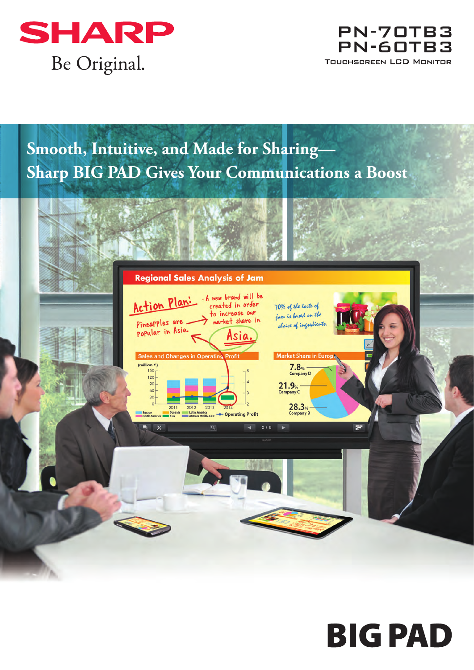

## PN-70TB3 PN-60TB3 **TOUCHSCREEN LCD MONITOR**

# **Smooth, Intuitive, and Made for Sharing— Sharp BIG PAD Gives Your Communications a Boost**



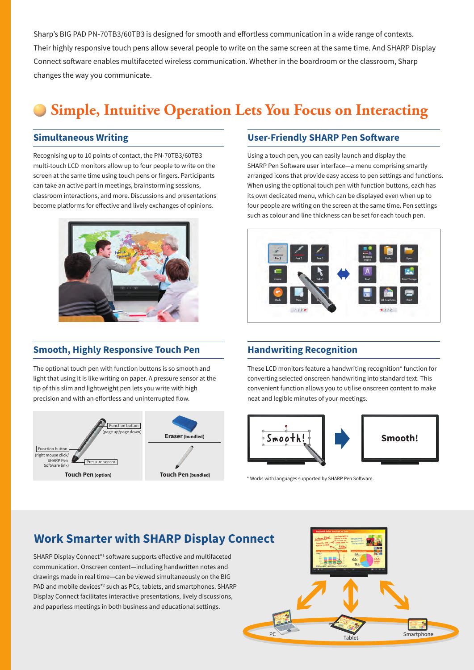Sharp's BIG PAD PN-70TB3/60TB3 is designed for smooth and effortless communication in a wide range of contexts. Their highly responsive touch pens allow several people to write on the same screen at the same time. And SHARP Display Connect software enables multifaceted wireless communication. Whether in the boardroom or the classroom, Sharp changes the way you communicate.

# **Simple, Intuitive Operation Lets You Focus on Interacting**

#### **Simultaneous Writing**

Recognising up to 10 points of contact, the PN-70TB3/60TB3 multi-touch LCD monitors allow up to four people to write on the screen at the same time using touch pens or fingers. Participants can take an active part in meetings, brainstorming sessions, classroom interactions, and more. Discussions and presentations become platforms for effective and lively exchanges of opinions.



#### **Smooth, Highly Responsive Touch Pen**

The optional touch pen with function buttons is so smooth and light that using it is like writing on paper. A pressure sensor at the tip of this slim and lightweight pen lets you write with high precision and with an effortless and uninterrupted flow.



#### **User-Friendly SHARP Pen Software**

Using a touch pen, you can easily launch and display the SHARP Pen Software user interface—a menu comprising smartly arranged icons that provide easy access to pen settings and functions. When using the optional touch pen with function buttons, each has its own dedicated menu, which can be displayed even when up to four people are writing on the screen at the same time. Pen settings such as colour and line thickness can be set for each touch pen.



#### **Handwriting Recognition**

These LCD monitors feature a handwriting recognition\* function for converting selected onscreen handwriting into standard text. This convenient function allows you to utilise onscreen content to make neat and legible minutes of your meetings.



\* Works with languages supported by SHARP Pen Software.

### **Work Smarter with SHARP Display Connect**

SHARP Display Connect<sup>\*1</sup> software supports effective and multifaceted communication. Onscreen content—including handwritten notes and drawings made in real time—can be viewed simultaneously on the BIG PAD and mobile devices<sup>\*2</sup> such as PCs, tablets, and smartphones. SHARP Display Connect facilitates interactive presentations, lively discussions, and paperless meetings in both business and educational settings.

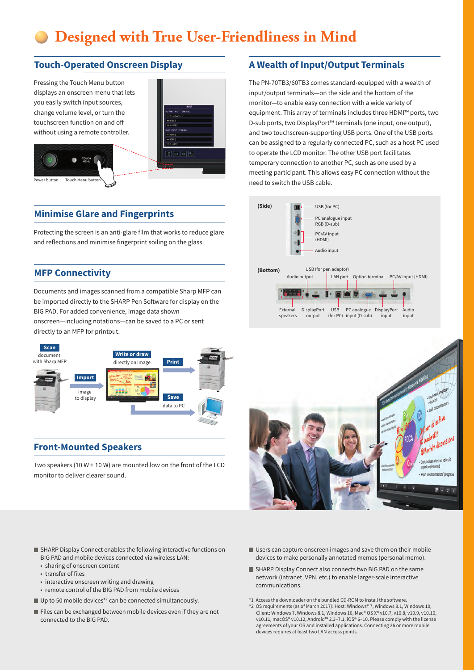## **Designed with True User-Friendliness in Mind**

#### **Touch-Operated Onscreen Display**

Pressing the Touch Menu button displays an onscreen menu that lets you easily switch input sources, change volume level, or turn the touchscreen function on and o without using a remote controller.



#### **Minimise Glare and Fingerprints**

Protecting the screen is an anti-glare film that works to reduce glare and reflections and minimise fingerprint soiling on the glass.

#### **MFP Connectivity**

Documents and images scanned from a compatible Sharp MFP can be imported directly to the SHARP Pen Software for display on the BIG PAD. For added convenience, image data shown onscreen—including notations—can be saved to a PC or sent directly to an MFP for printout.



#### **Front-Mounted Speakers**

Two speakers (10 W + 10 W) are mounted low on the front of the LCD monitor to deliver clearer sound.

#### SHARP Display Connect enables the following interactive functions on BIG PAD and mobile devices connected via wireless LAN:

- sharing of onscreen content
- transfer of files
- interactive onscreen writing and drawing
- remote control of the BIG PAD from mobile devices
- Up to 50 mobile devices\*2 can be connected simultaneously.
- Files can be exchanged between mobile devices even if they are not connected to the BIG PAD.

**A Wealth of Input/Output Terminals**

The PN-70TB3/60TB3 comes standard-equipped with a wealth of input/output terminals—on the side and the bottom of the monitor—to enable easy connection with a wide variety of equipment. This array of terminals includes three HDMI™ ports, two D-sub ports, two DisplayPort™ terminals (one input, one output), and two touchscreen-supporting USB ports. One of the USB ports can be assigned to a regularly connected PC, such as a host PC used to operate the LCD monitor. The other USB port facilitates temporary connection to another PC, such as one used by a meeting participant. This allows easy PC connection without the need to switch the USB cable.





- Users can capture onscreen images and save them on their mobile devices to make personally annotated memos (personal memo).
- SHARP Display Connect also connects two BIG PAD on the same network (intranet, VPN, etc.) to enable larger-scale interactive communications.
- \*1 Access the downloader on the bundled CD-ROM to install the software \*2 OS requirements (as of March 2017): Host: Windows® 7, Windows 8.1, Windows 10; Client: Windows 7, Windows 8.1, Windows 10, Mac® OS X® v10.7, v10.8, v10.9, v10.10, v10.11, macOS® v10.12, Android™ 2.3–7.1, iOS® 6–10. Please comply with the license

devices requires at least two LAN access points.

agreements of your OS and installed applications. Connecting 26 or more mobile